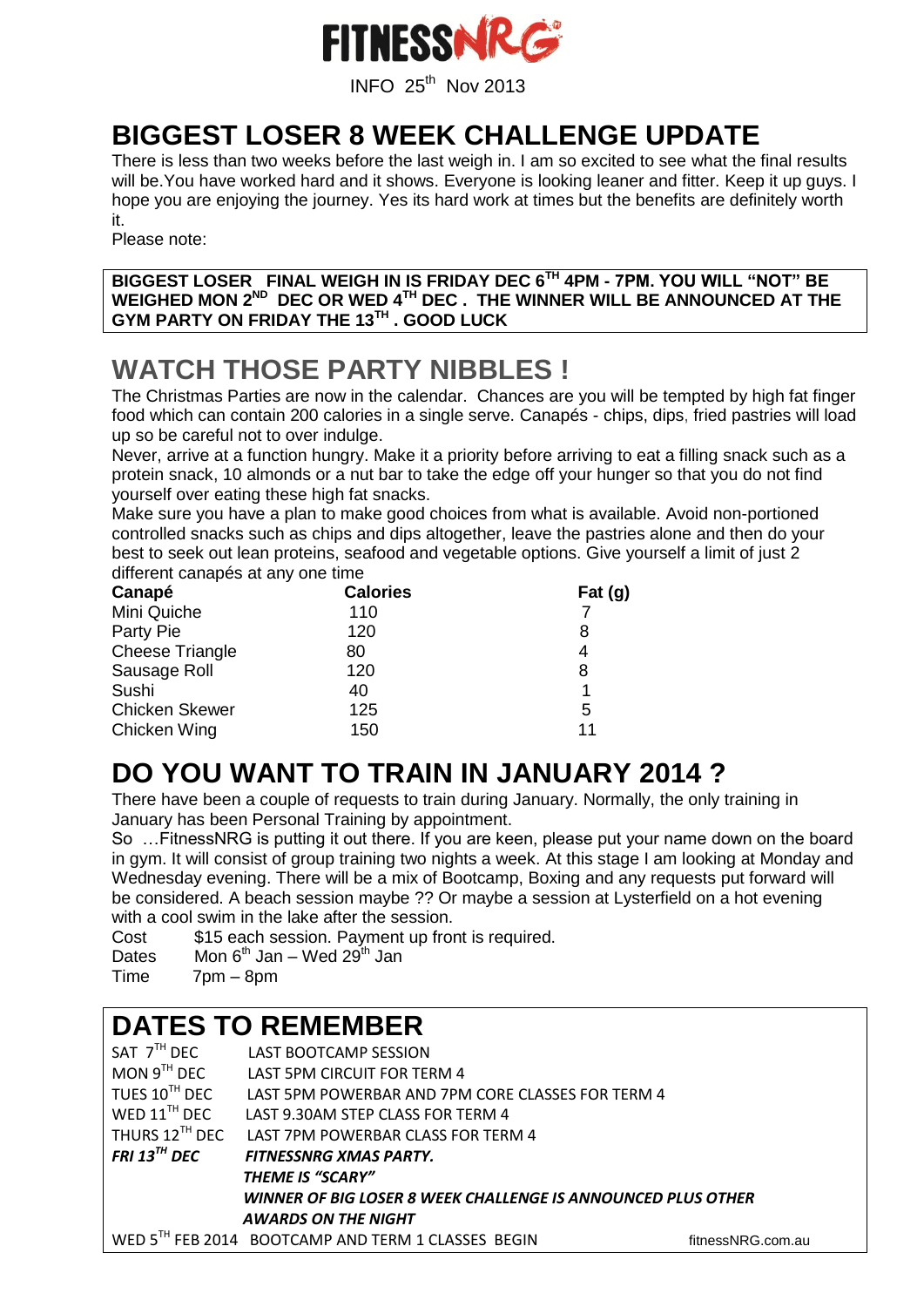

INFO <sup>25</sup>th Nov <sup>2013</sup>

### **BIGGEST LOSER 8 WEEK CHALLENGE UPDATE**

There is less than two weeks before the last weigh in. I am so excited to see what the final results will be. You have worked hard and it shows. Everyone is looking leaner and fitter. Keep it up guys. I hope you are enjoying the journey. Yes its hard work at times but the benefits are definitely worth it.

Please note:

**BIGGEST LOSER FINAL WEIGH IN IS FRIDAY DEC 6TH 4PM - 7PM. YOU WILL "NOT" BE WEIGHED MON 2ND DEC OR WED 4TH DEC . THE WINNER WILL BE ANNOUNCED AT THE GYM PARTY ON FRIDAY THE 13TH . GOOD LUCK**

## **WATCH THOSE PARTY NIBBLES !**

The Christmas Parties are now in the calendar. Chances are you will be tempted by high fat finger food which can contain 200 calories in a single serve. Canapés - chips, dips, fried pastries will load up so be careful not to over indulge.

Never, arrive at a function hungry. Make it a priority before arriving to eat a filling snack such as a protein snack, 10 almonds or a nut bar to take the edge off your hunger so that you do not find yourself over eating these high fat snacks.

Make sure you have a plan to make good choices from what is available. Avoid non-portioned controlled snacks such as chips and dips altogether, leave the pastries alone and then do your best to seek out lean proteins, seafood and vegetable options. Give yourself a limit of just 2 different canapés at any one time

| Canapé                 | <b>Calories</b> | Fat $(g)$ |  |
|------------------------|-----------------|-----------|--|
| Mini Quiche            | 110             |           |  |
| Party Pie              | 120             | 8         |  |
| <b>Cheese Triangle</b> | 80              | 4         |  |
| Sausage Roll           | 120             | 8         |  |
| Sushi                  | 40              | 1         |  |
| <b>Chicken Skewer</b>  | 125             | 5         |  |
| Chicken Wing           | 150             | 11        |  |

# **DO YOU WANT TO TRAIN IN JANUARY 2014 ?**

There have been a couple of requests to train during January. Normally, the only training in January has been Personal Training by appointment.

So …FitnessNRG is putting it out there. If you are keen, please put your name down on the board in gym. It will consist of group training two nights a week. At this stage I am looking at Monday and Wednesday evening. There will be a mix of Bootcamp, Boxing and any requests put forward will be considered. A beach session maybe ?? Or maybe a session at Lysterfield on a hot evening with a cool swim in the lake after the session.

Cost \$15 each session. Payment up front is required.

| Mon $6^{th}$ Jan – Wed 29 <sup>th</sup> Jan | <b>Dates</b> |  |  |  |  |  |
|---------------------------------------------|--------------|--|--|--|--|--|
|---------------------------------------------|--------------|--|--|--|--|--|

Time 7pm – 8pm

#### **DATES TO REMEMBER**

| SAT 7 <sup>TH</sup> DEC                                      | <b>LAST BOOTCAMP SESSION</b>                       |                   |  |  |  |
|--------------------------------------------------------------|----------------------------------------------------|-------------------|--|--|--|
| MON $9^{TH}$ DEC                                             | LAST 5PM CIRCUIT FOR TERM 4                        |                   |  |  |  |
| TUES $10^{TH}$ DEC                                           | LAST 5PM POWERBAR AND 7PM CORE CLASSES FOR TERM 4  |                   |  |  |  |
| WED $11^{\text{TH}}$ DEC                                     | LAST 9.30AM STEP CLASS FOR TERM 4                  |                   |  |  |  |
| THURS $12^{TH}$ DEC                                          | LAST 7PM POWERBAR CLASS FOR TERM 4                 |                   |  |  |  |
| FRI 13 $^{TH}$ DEC                                           | FITNESSNRG XMAS PARTY.                             |                   |  |  |  |
|                                                              | <b>THEME IS "SCARY"</b>                            |                   |  |  |  |
| WINNER OF BIG LOSER 8 WEEK CHALLENGE IS ANNOUNCED PLUS OTHER |                                                    |                   |  |  |  |
|                                                              | <b>AWARDS ON THE NIGHT</b>                         |                   |  |  |  |
|                                                              | WED 5TH FEB 2014 BOOTCAMP AND TERM 1 CLASSES BEGIN | fitnessNRG.com.au |  |  |  |